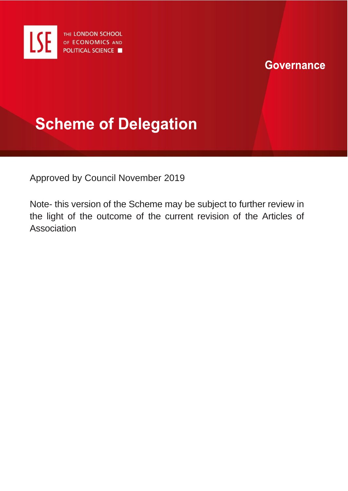

## **Governance**

# **Scheme of Delegation**

Approved by Council November 2019

Note- this version of the Scheme may be subject to further review in the light of the outcome of the current revision of the Articles of **Association**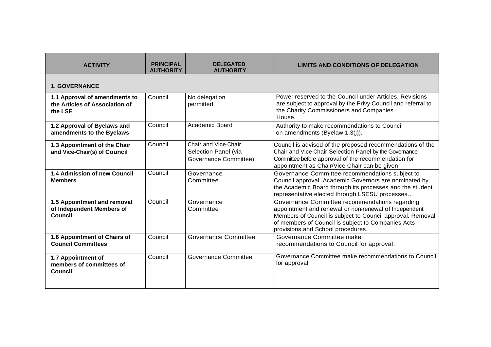| <b>ACTIVITY</b>                                                            | <b>PRINCIPAL</b><br><b>AUTHORITY</b> | <b>DELEGATED</b><br><b>AUTHORITY</b>                                  | <b>LIMITS AND CONDITIONS OF DELEGATION</b>                                                                                                                                                                                                                       |
|----------------------------------------------------------------------------|--------------------------------------|-----------------------------------------------------------------------|------------------------------------------------------------------------------------------------------------------------------------------------------------------------------------------------------------------------------------------------------------------|
| <b>1. GOVERNANCE</b>                                                       |                                      |                                                                       |                                                                                                                                                                                                                                                                  |
| 1.1 Approval of amendments to<br>the Articles of Association of<br>the LSE | Council                              | No delegation<br>permitted                                            | Power reserved to the Council under Articles. Revisions<br>are subject to approval by the Privy Council and referral to<br>the Charity Commissioners and Companies<br>House.                                                                                     |
| 1.2 Approval of Byelaws and<br>amendments to the Byelaws                   | Council                              | Academic Board                                                        | Authority to make recommendations to Council<br>on amendments (Byelaw 1.3(j)).                                                                                                                                                                                   |
| 1.3 Appointment of the Chair<br>and Vice-Chair(s) of Council               | Council                              | Chair and Vice-Chair<br>Selection Panel (via<br>Governance Committee) | Council is advised of the proposed recommendations of the<br>Chair and Vice-Chair Selection Panel by the Governance<br>Committee before approval of the recommendation for<br>appointment as Chair/Vice Chair can be given                                       |
| 1.4 Admission of new Council<br><b>Members</b>                             | Council                              | Governance<br>Committee                                               | Governance Committee recommendations subject to<br>Council approval. Academic Governors are nominated by<br>the Academic Board through its processes and the student<br>representative elected through LSESU processes                                           |
| 1.5 Appointment and removal<br>of Independent Members of<br><b>Council</b> | Council                              | Governance<br>Committee                                               | Governance Committee recommendations regarding<br>appointment and renewal or non-renewal of Independent<br>Members of Council is subject to Council approval. Removal<br>of members of Council is subject to Companies Acts<br>provisions and School procedures. |
| 1.6 Appointment of Chairs of<br><b>Council Committees</b>                  | Council                              | <b>Governance Committee</b>                                           | Governance Committee make<br>recommendations to Council for approval.                                                                                                                                                                                            |
| 1.7 Appointment of<br>members of committees of<br>Council                  | Council                              | <b>Governance Committee</b>                                           | Governance Committee make recommendations to Council<br>for approval.                                                                                                                                                                                            |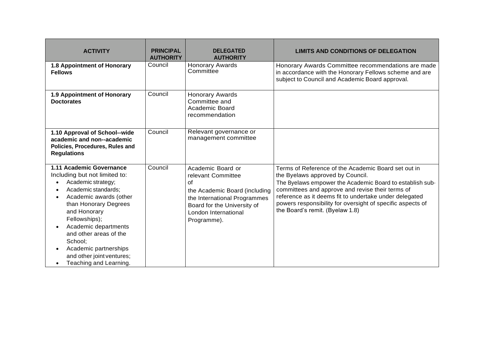| <b>ACTIVITY</b>                                                                                                                                                                                                                                                                                                                                                                                  | <b>PRINCIPAL</b><br><b>AUTHORITY</b> | <b>DELEGATED</b><br><b>AUTHORITY</b>                                                                                                                                                 | <b>LIMITS AND CONDITIONS OF DELEGATION</b>                                                                                                                                                                                                                                                                                                                         |
|--------------------------------------------------------------------------------------------------------------------------------------------------------------------------------------------------------------------------------------------------------------------------------------------------------------------------------------------------------------------------------------------------|--------------------------------------|--------------------------------------------------------------------------------------------------------------------------------------------------------------------------------------|--------------------------------------------------------------------------------------------------------------------------------------------------------------------------------------------------------------------------------------------------------------------------------------------------------------------------------------------------------------------|
| 1.8 Appointment of Honorary<br><b>Fellows</b>                                                                                                                                                                                                                                                                                                                                                    | Council                              | <b>Honorary Awards</b><br>Committee                                                                                                                                                  | Honorary Awards Committee recommendations are made<br>in accordance with the Honorary Fellows scheme and are<br>subject to Council and Academic Board approval.                                                                                                                                                                                                    |
| 1.9 Appointment of Honorary<br><b>Doctorates</b>                                                                                                                                                                                                                                                                                                                                                 | Council                              | <b>Honorary Awards</b><br>Committee and<br>Academic Board<br>recommendation                                                                                                          |                                                                                                                                                                                                                                                                                                                                                                    |
| 1.10 Approval of School--wide<br>academic and non--academic<br>Policies, Procedures, Rules and<br><b>Regulations</b>                                                                                                                                                                                                                                                                             | Council                              | Relevant governance or<br>management committee                                                                                                                                       |                                                                                                                                                                                                                                                                                                                                                                    |
| 1.11 Academic Governance<br>Including but not limited to:<br>Academic strategy;<br>$\bullet$<br>Academic standards;<br>٠<br>Academic awards (other<br>$\bullet$<br>than Honorary Degrees<br>and Honorary<br>Fellowships);<br>Academic departments<br>$\bullet$<br>and other areas of the<br>School;<br>Academic partnerships<br>$\bullet$<br>and other joint ventures;<br>Teaching and Learning. | Council                              | Academic Board or<br>relevant Committee<br>of<br>the Academic Board (including<br>the International Programmes<br>Board for the University of<br>London International<br>Programme). | Terms of Reference of the Academic Board set out in<br>the Byelaws approved by Council.<br>The Byelaws empower the Academic Board to establish sub-<br>committees and approve and revise their terms of<br>reference as it deems fit to undertake under delegated<br>powers responsibility for oversight of specific aspects of<br>the Board's remit. (Byelaw 1.8) |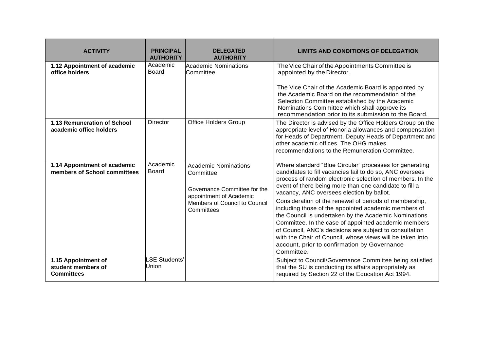| <b>ACTIVITY</b>                                                | <b>PRINCIPAL</b><br><b>AUTHORITY</b> | <b>DELEGATED</b><br><b>AUTHORITY</b>                                                                                                               | <b>LIMITS AND CONDITIONS OF DELEGATION</b>                                                                                                                                                                                                                                                                                                                                                                                                                                                                                                                                                                                                                                                                       |
|----------------------------------------------------------------|--------------------------------------|----------------------------------------------------------------------------------------------------------------------------------------------------|------------------------------------------------------------------------------------------------------------------------------------------------------------------------------------------------------------------------------------------------------------------------------------------------------------------------------------------------------------------------------------------------------------------------------------------------------------------------------------------------------------------------------------------------------------------------------------------------------------------------------------------------------------------------------------------------------------------|
| 1.12 Appointment of academic<br>office holders                 | Academic<br>Board                    | <b>Academic Nominations</b><br>Committee                                                                                                           | The Vice Chair of the Appointments Committee is<br>appointed by the Director.<br>The Vice Chair of the Academic Board is appointed by<br>the Academic Board on the recommendation of the<br>Selection Committee established by the Academic<br>Nominations Committee which shall approve its<br>recommendation prior to its submission to the Board.                                                                                                                                                                                                                                                                                                                                                             |
| 1.13 Remuneration of School<br>academic office holders         | Director                             | <b>Office Holders Group</b>                                                                                                                        | The Director is advised by the Office Holders Group on the<br>appropriate level of Honoria allowances and compensation<br>for Heads of Department, Deputy Heads of Department and<br>other academic offices. The OHG makes<br>recommendations to the Remuneration Committee.                                                                                                                                                                                                                                                                                                                                                                                                                                     |
| 1.14 Appointment of academic<br>members of School committees   | Academic<br><b>Board</b>             | <b>Academic Nominations</b><br>Committee<br>Governance Committee for the<br>appointment of Academic<br>Members of Council to Council<br>Committees | Where standard "Blue Circular" processes for generating<br>candidates to fill vacancies fail to do so, ANC oversees<br>process of random electronic selection of members. In the<br>event of there being more than one candidate to fill a<br>vacancy, ANC oversees election by ballot.<br>Consideration of the renewal of periods of membership,<br>including those of the appointed academic members of<br>the Council is undertaken by the Academic Nominations<br>Committee. In the case of appointed academic members<br>of Council, ANC's decisions are subject to consultation<br>with the Chair of Council, whose views will be taken into<br>account, prior to confirmation by Governance<br>Committee. |
| 1.15 Appointment of<br>student members of<br><b>Committees</b> | <b>SE Students'</b><br>Union         |                                                                                                                                                    | Subject to Council/Governance Committee being satisfied<br>that the SU is conducting its affairs appropriately as<br>required by Section 22 of the Education Act 1994.                                                                                                                                                                                                                                                                                                                                                                                                                                                                                                                                           |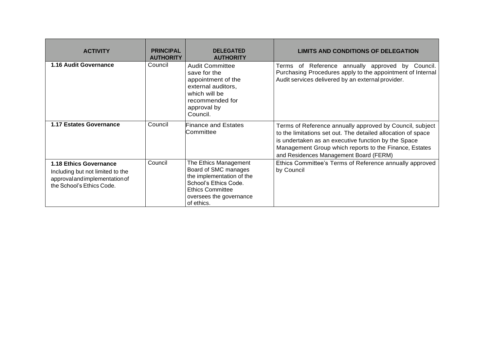| <b>ACTIVITY</b>                                                                                                                  | <b>PRINCIPAL</b><br><b>AUTHORITY</b> | <b>DELEGATED</b><br><b>AUTHORITY</b>                                                                                                                                    | <b>LIMITS AND CONDITIONS OF DELEGATION</b>                                                                                                                                                                                                                                          |
|----------------------------------------------------------------------------------------------------------------------------------|--------------------------------------|-------------------------------------------------------------------------------------------------------------------------------------------------------------------------|-------------------------------------------------------------------------------------------------------------------------------------------------------------------------------------------------------------------------------------------------------------------------------------|
| 1.16 Audit Governance                                                                                                            | Council                              | <b>Audit Committee</b><br>save for the<br>appointment of the<br>external auditors,<br>which will be<br>recommended for<br>approval by<br>Council.                       | Terms of Reference annually approved by Council.<br>Purchasing Procedures apply to the appointment of Internal<br>Audit services delivered by an external provider.                                                                                                                 |
| <b>1.17 Estates Governance</b>                                                                                                   | Council                              | <b>Finance and Estates</b><br>Committee                                                                                                                                 | Terms of Reference annually approved by Council, subject<br>to the limitations set out. The detailed allocation of space<br>is undertaken as an executive function by the Space<br>Management Group which reports to the Finance, Estates<br>and Residences Management Board (FERM) |
| <b>1.18 Ethics Governance</b><br>Including but not limited to the<br>approval and implementation of<br>the School's Ethics Code. | Council                              | The Ethics Management<br>Board of SMC manages<br>the implementation of the<br>School's Ethics Code.<br><b>Ethics Committee</b><br>oversees the governance<br>of ethics. | Ethics Committee's Terms of Reference annually approved<br>by Council                                                                                                                                                                                                               |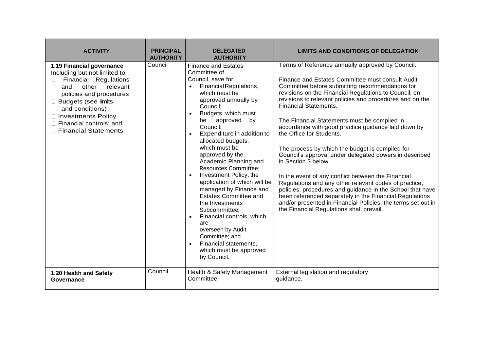| <b>ACTIVITY</b>                                                                                                                                                                                                                                                     | <b>PRINCIPAL</b><br><b>AUTHORITY</b> | <b>DELEGATED</b><br><b>AUTHORITY</b>                                                                                                                                                                                                                                                                                                                                                                                                                                                                                                                                                                                                                                                                                      | <b>LIMITS AND CONDITIONS OF DELEGATION</b>                                                                                                                                                                                                                                                                                                                                                                                                                                                                                                                                                                                                                                                                                                                                                                                                                                                                                             |
|---------------------------------------------------------------------------------------------------------------------------------------------------------------------------------------------------------------------------------------------------------------------|--------------------------------------|---------------------------------------------------------------------------------------------------------------------------------------------------------------------------------------------------------------------------------------------------------------------------------------------------------------------------------------------------------------------------------------------------------------------------------------------------------------------------------------------------------------------------------------------------------------------------------------------------------------------------------------------------------------------------------------------------------------------------|----------------------------------------------------------------------------------------------------------------------------------------------------------------------------------------------------------------------------------------------------------------------------------------------------------------------------------------------------------------------------------------------------------------------------------------------------------------------------------------------------------------------------------------------------------------------------------------------------------------------------------------------------------------------------------------------------------------------------------------------------------------------------------------------------------------------------------------------------------------------------------------------------------------------------------------|
| 1.19 Financial governance<br>Including but not limited to:<br>Financial Regulations<br>other<br>relevant<br>and<br>policies and procedures<br>□ Budgets (see limits<br>and conditions)<br>□ Investments Policy<br>Financial controls; and<br>□ Financial Statements | Council                              | <b>Finance and Estates</b><br>Committee of<br>Council, save for:<br>Financial Regulations,<br>$\bullet$<br>which must be<br>approved annually by<br>Council:<br>Budgets, which must<br>$\bullet$<br>approved<br>by<br>be<br>Council;<br>Expenditure in addition to<br>$\bullet$<br>allocated budgets,<br>which must be<br>approved by the<br>Academic Planning and<br>Resources Committee;<br>Investment Policy, the<br>$\bullet$<br>application of which will be<br>managed by Finance and<br><b>Estates Committee and</b><br>the Investments<br>Subcommittee:<br>Financial controls, which<br>$\bullet$<br>are<br>overseen by Audit<br>Committee; and<br>Financial statements,<br>which must be approved<br>by Council. | Terms of Reference annually approved by Council.<br>Finance and Estates Committee must consult Audit<br>Committee before submitting recommendations for<br>revisions on the Financial Regulations to Council, on<br>revisions to relevant policies and procedures and on the<br><b>Financial Statements.</b><br>The Financial Statements must be compiled in<br>accordance with good practice guidance laid down by<br>the Office for Students.<br>The process by which the budget is compiled for<br>Council's approval under delegated powers in described<br>in Section 3 below.<br>In the event of any conflict between the Financial<br>Regulations and any other relevant codes of practice,<br>policies, procedures and guidance in the School that have<br>been referenced separately in the Financial Regulations<br>and/or presented in Financial Policies, the terms set out in<br>the Financial Regulations shall prevail. |
| 1.20 Health and Safety<br>Governance                                                                                                                                                                                                                                | Council                              | Health & Safety Management<br>Committee                                                                                                                                                                                                                                                                                                                                                                                                                                                                                                                                                                                                                                                                                   | External legislation and regulatory<br>guidance.                                                                                                                                                                                                                                                                                                                                                                                                                                                                                                                                                                                                                                                                                                                                                                                                                                                                                       |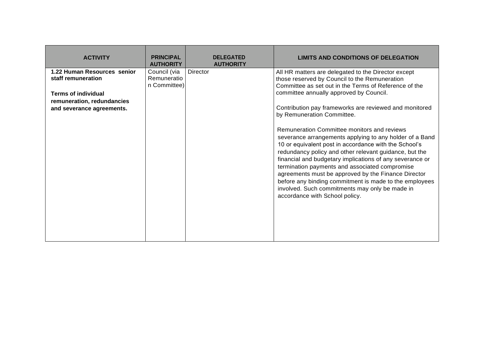| <b>ACTIVITY</b>                                                                       | <b>PRINCIPAL</b><br><b>AUTHORITY</b>        | <b>DELEGATED</b><br><b>AUTHORITY</b> | <b>LIMITS AND CONDITIONS OF DELEGATION</b>                                                                                                                                                                                                                                                                                                                                                                                                                                                                                                   |
|---------------------------------------------------------------------------------------|---------------------------------------------|--------------------------------------|----------------------------------------------------------------------------------------------------------------------------------------------------------------------------------------------------------------------------------------------------------------------------------------------------------------------------------------------------------------------------------------------------------------------------------------------------------------------------------------------------------------------------------------------|
| 1.22 Human Resources senior<br>staff remuneration                                     | Council (via<br>Remuneratio<br>n Committee) | <b>Director</b>                      | All HR matters are delegated to the Director except<br>those reserved by Council to the Remuneration<br>Committee as set out in the Terms of Reference of the                                                                                                                                                                                                                                                                                                                                                                                |
| <b>Terms of individual</b><br>remuneration, redundancies<br>and severance agreements. |                                             |                                      | committee annually approved by Council.<br>Contribution pay frameworks are reviewed and monitored<br>by Remuneration Committee.                                                                                                                                                                                                                                                                                                                                                                                                              |
|                                                                                       |                                             |                                      | Remuneration Committee monitors and reviews<br>severance arrangements applying to any holder of a Band<br>10 or equivalent post in accordance with the School's<br>redundancy policy and other relevant guidance, but the<br>financial and budgetary implications of any severance or<br>termination payments and associated compromise<br>agreements must be approved by the Finance Director<br>before any binding commitment is made to the employees<br>involved. Such commitments may only be made in<br>accordance with School policy. |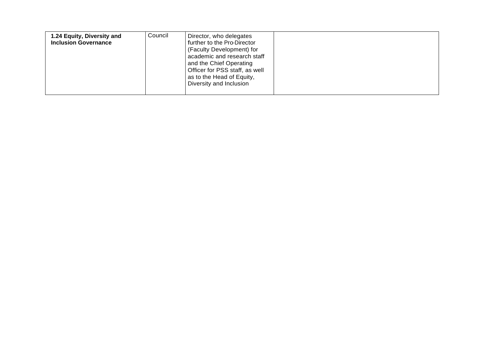| 1.24 Equity, Diversity and<br><b>Inclusion Governance</b> | Council | Director, who delegates<br>further to the Pro-Director<br>(Faculty Development) for<br>academic and research staff<br>and the Chief Operating<br>Officer for PSS staff, as well<br>as to the Head of Equity, |  |
|-----------------------------------------------------------|---------|--------------------------------------------------------------------------------------------------------------------------------------------------------------------------------------------------------------|--|
|                                                           |         | Diversity and Inclusion                                                                                                                                                                                      |  |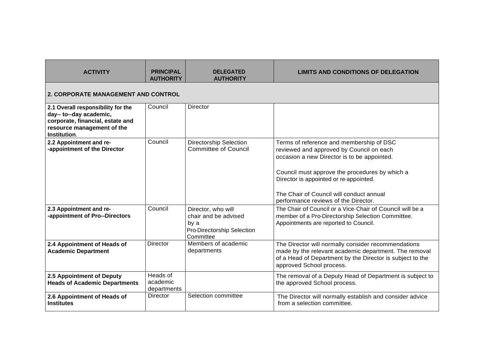| <b>ACTIVITY</b>                                                                                                                                 | <b>PRINCIPAL</b><br><b>AUTHORITY</b>       | <b>DELEGATED</b><br><b>AUTHORITY</b>                                                          | <b>LIMITS AND CONDITIONS OF DELEGATION</b>                                                                                                                                                                                                                                                                          |  |  |  |
|-------------------------------------------------------------------------------------------------------------------------------------------------|--------------------------------------------|-----------------------------------------------------------------------------------------------|---------------------------------------------------------------------------------------------------------------------------------------------------------------------------------------------------------------------------------------------------------------------------------------------------------------------|--|--|--|
|                                                                                                                                                 | <b>2. CORPORATE MANAGEMENT AND CONTROL</b> |                                                                                               |                                                                                                                                                                                                                                                                                                                     |  |  |  |
| 2.1 Overall responsibility for the<br>day-- to--day academic,<br>corporate, financial, estate and<br>resource management of the<br>Institution. | Council                                    | <b>Director</b>                                                                               |                                                                                                                                                                                                                                                                                                                     |  |  |  |
| 2.2 Appointment and re-<br>-appointment of the Director                                                                                         | Council                                    | <b>Directorship Selection</b><br><b>Committee of Council</b>                                  | Terms of reference and membership of DSC<br>reviewed and approved by Council on each<br>occasion a new Director is to be appointed.<br>Council must approve the procedures by which a<br>Director is appointed or re-appointed.<br>The Chair of Council will conduct annual<br>performance reviews of the Director. |  |  |  |
| 2.3 Appointment and re-<br>-appointment of Pro--Directors                                                                                       | Council                                    | Director, who will<br>chair and be advised<br>by a<br>Pro-Directorship Selection<br>Committee | The Chair of Council or a Vice-Chair of Council will be a<br>member of a Pro-Directorship Selection Committee.<br>Appointments are reported to Council.                                                                                                                                                             |  |  |  |
| 2.4 Appointment of Heads of<br><b>Academic Department</b>                                                                                       | Director                                   | Members of academic<br>departments                                                            | The Director will normally consider recommendations<br>made by the relevant academic department. The removal<br>of a Head of Department by the Director is subject to the<br>approved School process.                                                                                                               |  |  |  |
| 2.5 Appointment of Deputy<br><b>Heads of Academic Departments</b>                                                                               | Heads of<br>academic<br>departments        |                                                                                               | The removal of a Deputy Head of Department is subject to<br>the approved School process.                                                                                                                                                                                                                            |  |  |  |
| 2.6 Appointment of Heads of<br><b>Institutes</b>                                                                                                | <b>Director</b>                            | Selection committee                                                                           | The Director will normally establish and consider advice<br>from a selection committee.                                                                                                                                                                                                                             |  |  |  |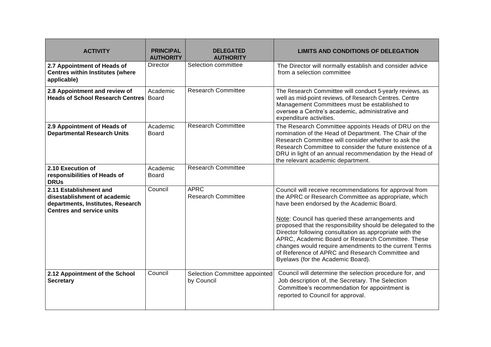| <b>ACTIVITY</b>                                                                                                                 | <b>PRINCIPAL</b><br><b>AUTHORITY</b> | <b>DELEGATED</b><br><b>AUTHORITY</b>        | <b>LIMITS AND CONDITIONS OF DELEGATION</b>                                                                                                                                                                                                                                                                                                                                                                                                                                                                                                      |
|---------------------------------------------------------------------------------------------------------------------------------|--------------------------------------|---------------------------------------------|-------------------------------------------------------------------------------------------------------------------------------------------------------------------------------------------------------------------------------------------------------------------------------------------------------------------------------------------------------------------------------------------------------------------------------------------------------------------------------------------------------------------------------------------------|
| 2.7 Appointment of Heads of<br><b>Centres within Institutes (where</b><br>applicable)                                           | Director                             | Selection committee                         | The Director will normally establish and consider advice<br>from a selection committee                                                                                                                                                                                                                                                                                                                                                                                                                                                          |
| 2.8 Appointment and review of<br><b>Heads of School Research Centres</b>                                                        | Academic<br><b>Board</b>             | <b>Research Committee</b>                   | The Research Committee will conduct 5-yearly reviews, as<br>well as mid-point reviews, of Research Centres. Centre<br>Management Committees must be established to<br>oversee a Centre's academic, administrative and<br>expenditure activities.                                                                                                                                                                                                                                                                                                |
| 2.9 Appointment of Heads of<br><b>Departmental Research Units</b>                                                               | Academic<br>Board                    | <b>Research Committee</b>                   | The Research Committee appoints Heads of DRU on the<br>nomination of the Head of Department. The Chair of the<br>Research Committee will consider whether to ask the<br>Research Committee to consider the future existence of a<br>DRU in light of an annual recommendation by the Head of<br>the relevant academic department.                                                                                                                                                                                                                |
| 2.10 Execution of<br>responsibilities of Heads of<br><b>DRUs</b>                                                                | Academic<br><b>Board</b>             | <b>Research Committee</b>                   |                                                                                                                                                                                                                                                                                                                                                                                                                                                                                                                                                 |
| 2.11 Establishment and<br>disestablishment of academic<br>departments, Institutes, Research<br><b>Centres and service units</b> | Council                              | <b>APRC</b><br><b>Research Committee</b>    | Council will receive recommendations for approval from<br>the APRC or Research Committee as appropriate, which<br>have been endorsed by the Academic Board.<br>Note: Council has queried these arrangements and<br>proposed that the responsibility should be delegated to the<br>Director following consultation as appropriate with the<br>APRC, Academic Board or Research Committee. These<br>changes would require amendments to the current Terms<br>of Reference of APRC and Research Committee and<br>Byelaws (for the Academic Board). |
| 2.12 Appointment of the School<br><b>Secretary</b>                                                                              | Council                              | Selection Committee appointed<br>by Council | Council will determine the selection procedure for, and<br>Job description of, the Secretary. The Selection<br>Committee's recommendation for appointment is<br>reported to Council for approval.                                                                                                                                                                                                                                                                                                                                               |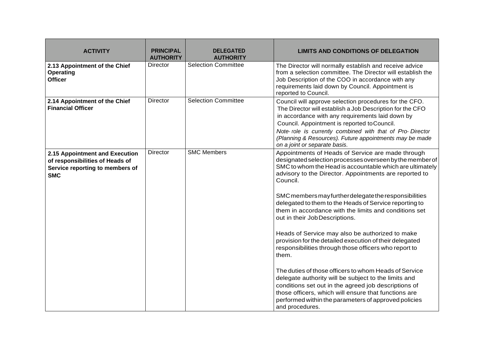| <b>ACTIVITY</b>                                                                                                    | <b>PRINCIPAL</b><br><b>AUTHORITY</b> | <b>DELEGATED</b><br><b>AUTHORITY</b> | <b>LIMITS AND CONDITIONS OF DELEGATION</b>                                                                                                                                                                                                                                                                                                                                                                                                                                                                                                                                                                                                                                                                                                                                                                                                                                                                                                                             |
|--------------------------------------------------------------------------------------------------------------------|--------------------------------------|--------------------------------------|------------------------------------------------------------------------------------------------------------------------------------------------------------------------------------------------------------------------------------------------------------------------------------------------------------------------------------------------------------------------------------------------------------------------------------------------------------------------------------------------------------------------------------------------------------------------------------------------------------------------------------------------------------------------------------------------------------------------------------------------------------------------------------------------------------------------------------------------------------------------------------------------------------------------------------------------------------------------|
| 2.13 Appointment of the Chief<br><b>Operating</b><br><b>Officer</b>                                                | Director                             | <b>Selection Committee</b>           | The Director will normally establish and receive advice<br>from a selection committee. The Director will establish the<br>Job Description of the COO in accordance with any<br>requirements laid down by Council. Appointment is<br>reported to Council.                                                                                                                                                                                                                                                                                                                                                                                                                                                                                                                                                                                                                                                                                                               |
| 2.14 Appointment of the Chief<br><b>Financial Officer</b>                                                          | <b>Director</b>                      | <b>Selection Committee</b>           | Council will approve selection procedures for the CFO.<br>The Director will establish a Job Description for the CFO<br>in accordance with any requirements laid down by<br>Council. Appointment is reported to Council.<br>Note role is currently combined with that of Pro Director<br>(Planning & Resources). Future appointments may be made                                                                                                                                                                                                                                                                                                                                                                                                                                                                                                                                                                                                                        |
| 2.15 Appointment and Execution<br>of responsibilities of Heads of<br>Service reporting to members of<br><b>SMC</b> | Director                             | <b>SMC Members</b>                   | on a joint or separate basis.<br>Appointments of Heads of Service are made through<br>designated selection processes overseen by the member of<br>SMC to whom the Head is accountable which are ultimately<br>advisory to the Director. Appointments are reported to<br>Council.<br>SMC members may further delegate the responsibilities<br>delegated to them to the Heads of Service reporting to<br>them in accordance with the limits and conditions set<br>out in their JobDescriptions.<br>Heads of Service may also be authorized to make<br>provision for the detailed execution of their delegated<br>responsibilities through those officers who report to<br>them.<br>The duties of those officers to whom Heads of Service<br>delegate authority will be subject to the limits and<br>conditions set out in the agreed job descriptions of<br>those officers, which will ensure that functions are<br>performed within the parameters of approved policies |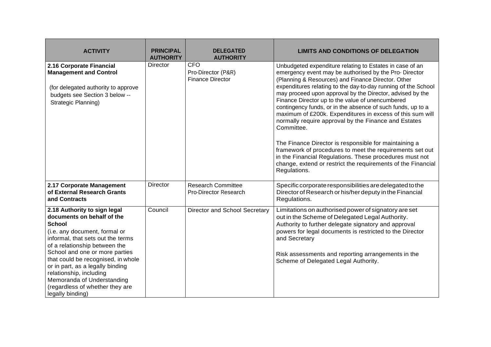| <b>ACTIVITY</b>                                                                                                                                                                                                                                                                                                                                                                                                | <b>PRINCIPAL</b><br><b>AUTHORITY</b> | <b>DELEGATED</b><br><b>AUTHORITY</b>                        | <b>LIMITS AND CONDITIONS OF DELEGATION</b>                                                                                                                                                                                                                                                                                                                                                                                                                                                                                                                                                                                                                                                                                                                                                                                   |
|----------------------------------------------------------------------------------------------------------------------------------------------------------------------------------------------------------------------------------------------------------------------------------------------------------------------------------------------------------------------------------------------------------------|--------------------------------------|-------------------------------------------------------------|------------------------------------------------------------------------------------------------------------------------------------------------------------------------------------------------------------------------------------------------------------------------------------------------------------------------------------------------------------------------------------------------------------------------------------------------------------------------------------------------------------------------------------------------------------------------------------------------------------------------------------------------------------------------------------------------------------------------------------------------------------------------------------------------------------------------------|
| 2.16 Corporate Financial<br><b>Management and Control</b><br>(for delegated authority to approve<br>budgets see Section 3 below --<br>Strategic Planning)                                                                                                                                                                                                                                                      | <b>Director</b>                      | <b>CFO</b><br>Pro-Director (P&R)<br><b>Finance Director</b> | Unbudgeted expenditure relating to Estates in case of an<br>emergency event may be authorised by the Pro- Director<br>(Planning & Resources) and Finance Director. Other<br>expenditures relating to the day-to-day running of the School<br>may proceed upon approval by the Director, advised by the<br>Finance Director up to the value of unencumbered<br>contingency funds, or in the absence of such funds, up to a<br>maximum of £200k. Expenditures in excess of this sum will<br>normally require approval by the Finance and Estates<br>Committee.<br>The Finance Director is responsible for maintaining a<br>framework of procedures to meet the requirements set out<br>in the Financial Regulations. These procedures must not<br>change, extend or restrict the requirements of the Financial<br>Regulations. |
| 2.17 Corporate Management<br>of External Research Grants<br>and Contracts                                                                                                                                                                                                                                                                                                                                      | Director                             | <b>Research Committee</b><br><b>Pro-Director Research</b>   | Specific corporate responsibilities are delegated to the<br>Director of Research or his/her deputy in the Financial<br>Regulations.                                                                                                                                                                                                                                                                                                                                                                                                                                                                                                                                                                                                                                                                                          |
| 2.18 Authority to sign legal<br>documents on behalf of the<br><b>School</b><br>(i.e. any document, formal or<br>informal, that sets out the terms<br>of a relationship between the<br>School and one or more parties<br>that could be recognised, in whole<br>or in part, as a legally binding<br>relationship, including<br>Memoranda of Understanding<br>(regardless of whether they are<br>legally binding) | Council                              | Director and School Secretary                               | Limitations on authorised power of signatory are set<br>out in the Scheme of Delegated Legal Authority.<br>Authority to further delegate signatory and approval<br>powers for legal documents is restricted to the Director<br>and Secretary<br>Risk assessments and reporting arrangements in the<br>Scheme of Delegated Legal Authority.                                                                                                                                                                                                                                                                                                                                                                                                                                                                                   |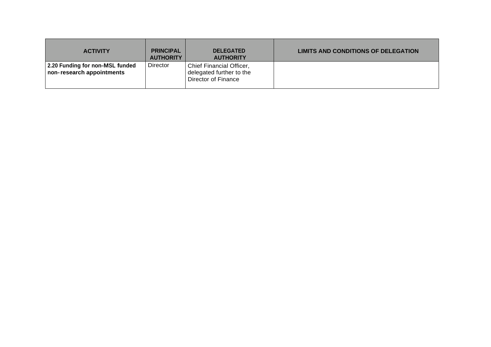| <b>ACTIVITY</b>                                              | <b>PRINCIPAL</b><br><b>AUTHORITY</b> | <b>DELEGATED</b><br><b>AUTHORITY</b>                                        | LIMITS AND CONDITIONS OF DELEGATION |
|--------------------------------------------------------------|--------------------------------------|-----------------------------------------------------------------------------|-------------------------------------|
| 2.20 Funding for non-MSL funded<br>non-research appointments | Director                             | Chief Financial Officer,<br>delegated further to the<br>Director of Finance |                                     |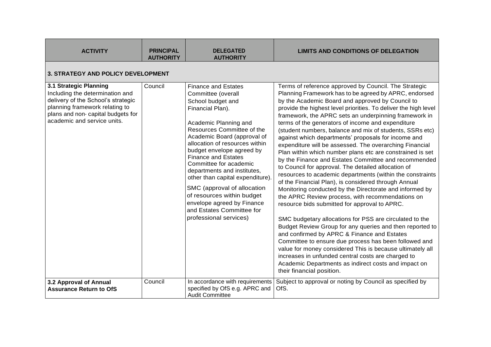| <b>ACTIVITY</b>                                                                                                                                                                                        | <b>PRINCIPAL</b><br><b>AUTHORITY</b> | <b>DELEGATED</b><br><b>AUTHORITY</b>                                                                                                                                                                                                                                                                                                                                                                                                                                                                                        | <b>LIMITS AND CONDITIONS OF DELEGATION</b>                                                                                                                                                                                                                                                                                                                                                                                                                                                                                                                                                                                                                                                                                                                                                                                                                                                                                                                                                                                                                                                                                                                                                                                                                                                                                                                                                                                                |
|--------------------------------------------------------------------------------------------------------------------------------------------------------------------------------------------------------|--------------------------------------|-----------------------------------------------------------------------------------------------------------------------------------------------------------------------------------------------------------------------------------------------------------------------------------------------------------------------------------------------------------------------------------------------------------------------------------------------------------------------------------------------------------------------------|-------------------------------------------------------------------------------------------------------------------------------------------------------------------------------------------------------------------------------------------------------------------------------------------------------------------------------------------------------------------------------------------------------------------------------------------------------------------------------------------------------------------------------------------------------------------------------------------------------------------------------------------------------------------------------------------------------------------------------------------------------------------------------------------------------------------------------------------------------------------------------------------------------------------------------------------------------------------------------------------------------------------------------------------------------------------------------------------------------------------------------------------------------------------------------------------------------------------------------------------------------------------------------------------------------------------------------------------------------------------------------------------------------------------------------------------|
| <b>3. STRATEGY AND POLICY DEVELOPMENT</b>                                                                                                                                                              |                                      |                                                                                                                                                                                                                                                                                                                                                                                                                                                                                                                             |                                                                                                                                                                                                                                                                                                                                                                                                                                                                                                                                                                                                                                                                                                                                                                                                                                                                                                                                                                                                                                                                                                                                                                                                                                                                                                                                                                                                                                           |
| 3.1 Strategic Planning<br>Including the determination and<br>delivery of the School's strategic<br>planning framework relating to<br>plans and non- capital budgets for<br>academic and service units. | Council                              | <b>Finance and Estates</b><br>Committee (overall<br>School budget and<br>Financial Plan).<br>Academic Planning and<br>Resources Committee of the<br>Academic Board (approval of<br>allocation of resources within<br>budget envelope agreed by<br><b>Finance and Estates</b><br>Committee for academic<br>departments and institutes,<br>other than capital expenditure).<br>SMC (approval of allocation<br>of resources within budget<br>envelope agreed by Finance<br>and Estates Committee for<br>professional services) | Terms of reference approved by Council. The Strategic<br>Planning Framework has to be agreed by APRC, endorsed<br>by the Academic Board and approved by Council to<br>provide the highest level priorities. To deliver the high level<br>framework, the APRC sets an underpinning framework in<br>terms of the generators of income and expenditure<br>(student numbers, balance and mix of students, SSRs etc)<br>against which departments' proposals for income and<br>expenditure will be assessed. The overarching Financial<br>Plan within which number plans etc are constrained is set<br>by the Finance and Estates Committee and recommended<br>to Council for approval. The detailed allocation of<br>resources to academic departments (within the constraints<br>of the Financial Plan), is considered through Annual<br>Monitoring conducted by the Directorate and informed by<br>the APRC Review process, with recommendations on<br>resource bids submitted for approval to APRC.<br>SMC budgetary allocations for PSS are circulated to the<br>Budget Review Group for any queries and then reported to<br>and confirmed by APRC & Finance and Estates<br>Committee to ensure due process has been followed and<br>value for money considered This is because ultimately all<br>increases in unfunded central costs are charged to<br>Academic Departments as indirect costs and impact on<br>their financial position. |
| 3.2 Approval of Annual<br><b>Assurance Return to OfS</b>                                                                                                                                               | Council                              | In accordance with requirements<br>specified by OfS e.g. APRC and<br><b>Audit Committee</b>                                                                                                                                                                                                                                                                                                                                                                                                                                 | Subject to approval or noting by Council as specified by<br>OfS.                                                                                                                                                                                                                                                                                                                                                                                                                                                                                                                                                                                                                                                                                                                                                                                                                                                                                                                                                                                                                                                                                                                                                                                                                                                                                                                                                                          |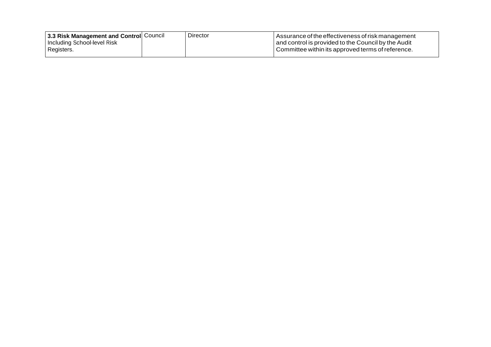| 13.3 Risk Management and Control Council | Director | l Assurance of the effectiveness of risk management i |
|------------------------------------------|----------|-------------------------------------------------------|
| I Including School-level Risk .          |          | and control is provided to the Council by the Audit   |
| Registers.                               |          | Committee within its approved terms of reference.     |
|                                          |          |                                                       |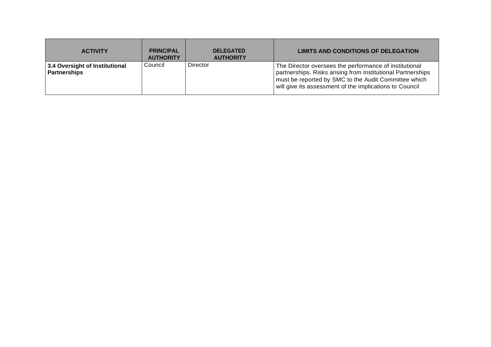| <b>ACTIVITY</b>                                       | <b>PRINCIPAL</b><br><b>AUTHORITY</b> | <b>DELEGATED</b><br><b>AUTHORITY</b> | LIMITS AND CONDITIONS OF DELEGATION                                                                                                                                                                                                      |
|-------------------------------------------------------|--------------------------------------|--------------------------------------|------------------------------------------------------------------------------------------------------------------------------------------------------------------------------------------------------------------------------------------|
| 3.4 Oversight of Institutional<br><b>Partnerships</b> | Council                              | Director                             | The Director oversees the performance of institutional<br>partnerships. Risks arising from Institutional Partnerships<br>must be reported by SMC to the Audit Committee which<br>will give its assessment of the implications to Council |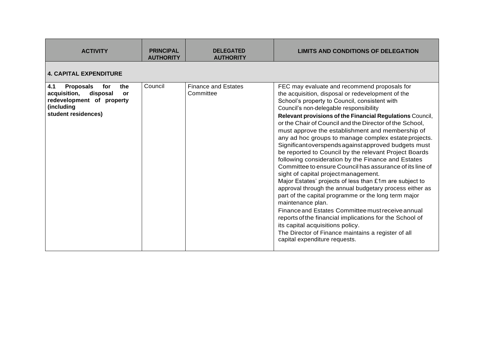| <b>ACTIVITY</b>                                                                                                                                  | <b>PRINCIPAL</b><br><b>AUTHORITY</b> | <b>DELEGATED</b><br><b>AUTHORITY</b>    | <b>LIMITS AND CONDITIONS OF DELEGATION</b>                                                                                                                                                                                                                                                                                                                                                                                                                                                                                                                                                                                                                                                                                                                                                                                                                                                                                                                                                                                                                                                                                                                |
|--------------------------------------------------------------------------------------------------------------------------------------------------|--------------------------------------|-----------------------------------------|-----------------------------------------------------------------------------------------------------------------------------------------------------------------------------------------------------------------------------------------------------------------------------------------------------------------------------------------------------------------------------------------------------------------------------------------------------------------------------------------------------------------------------------------------------------------------------------------------------------------------------------------------------------------------------------------------------------------------------------------------------------------------------------------------------------------------------------------------------------------------------------------------------------------------------------------------------------------------------------------------------------------------------------------------------------------------------------------------------------------------------------------------------------|
| <b>4. CAPITAL EXPENDITURE</b>                                                                                                                    |                                      |                                         |                                                                                                                                                                                                                                                                                                                                                                                                                                                                                                                                                                                                                                                                                                                                                                                                                                                                                                                                                                                                                                                                                                                                                           |
| 4.1<br><b>Proposals</b><br>for<br>the<br>acquisition,<br>disposal<br><b>or</b><br>redevelopment of property<br>(including<br>student residences) | Council                              | <b>Finance and Estates</b><br>Committee | FEC may evaluate and recommend proposals for<br>the acquisition, disposal or redevelopment of the<br>School's property to Council, consistent with<br>Council's non-delegable responsibility<br>Relevant provisions of the Financial Regulations Council,<br>or the Chair of Council and the Director of the School,<br>must approve the establishment and membership of<br>any ad hoc groups to manage complex estate projects.<br>Significantoverspends against approved budgets must<br>be reported to Council by the relevant Project Boards<br>following consideration by the Finance and Estates<br>Committee to ensure Council has assurance of its line of<br>sight of capital project management.<br>Major Estates' projects of less than £1m are subject to<br>approval through the annual budgetary process either as<br>part of the capital programme or the long term major<br>maintenance plan.<br>Finance and Estates Committee must receive annual<br>reports of the financial implications for the School of<br>its capital acquisitions policy.<br>The Director of Finance maintains a register of all<br>capital expenditure requests. |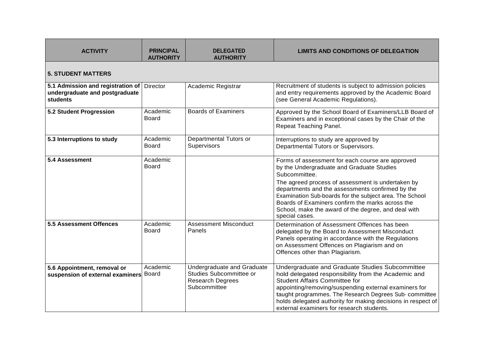| <b>ACTIVITY</b>                                                                                 | <b>PRINCIPAL</b><br><b>AUTHORITY</b> | <b>DELEGATED</b><br><b>AUTHORITY</b>                                                             | <b>LIMITS AND CONDITIONS OF DELEGATION</b>                                                                                                                                                                                                                                                                                                                                                                      |
|-------------------------------------------------------------------------------------------------|--------------------------------------|--------------------------------------------------------------------------------------------------|-----------------------------------------------------------------------------------------------------------------------------------------------------------------------------------------------------------------------------------------------------------------------------------------------------------------------------------------------------------------------------------------------------------------|
| <b>5. STUDENT MATTERS</b>                                                                       |                                      |                                                                                                  |                                                                                                                                                                                                                                                                                                                                                                                                                 |
| 5.1 Admission and registration of Director<br>undergraduate and postgraduate<br><b>students</b> |                                      | Academic Registrar                                                                               | Recruitment of students is subject to admission policies<br>and entry requirements approved by the Academic Board<br>(see General Academic Regulations).                                                                                                                                                                                                                                                        |
| 5.2 Student Progression                                                                         | Academic<br><b>Board</b>             | <b>Boards of Examiners</b>                                                                       | Approved by the School Board of Examiners/LLB Board of<br>Examiners and in exceptional cases by the Chair of the<br>Repeat Teaching Panel.                                                                                                                                                                                                                                                                      |
| 5.3 Interruptions to study                                                                      | Academic<br><b>Board</b>             | Departmental Tutors or<br>Supervisors                                                            | Interruptions to study are approved by<br>Departmental Tutors or Supervisors.                                                                                                                                                                                                                                                                                                                                   |
| 5.4 Assessment                                                                                  | Academic<br>Board                    |                                                                                                  | Forms of assessment for each course are approved<br>by the Undergraduate and Graduate Studies<br>Subcommittee.<br>The agreed process of assessment is undertaken by<br>departments and the assessments confirmed by the<br>Examination Sub-boards for the subject area. The School<br>Boards of Examiners confirm the marks across the<br>School, make the award of the degree, and deal with<br>special cases. |
| <b>5.5 Assessment Offences</b>                                                                  | Academic<br><b>Board</b>             | <b>Assessment Misconduct</b><br>Panels                                                           | Determination of Assessment Offences has been<br>delegated by the Board to Assessment Misconduct<br>Panels operating in accordance with the Regulations<br>on Assessment Offences on Plagiarism and on<br>Offences other than Plagiarism.                                                                                                                                                                       |
| 5.6 Appointment, removal or<br>suspension of external examiners Board                           | Academic                             | Undergraduate and Graduate<br>Studies Subcommittee or<br><b>Research Degrees</b><br>Subcommittee | Undergraduate and Graduate Studies Subcommittee<br>hold delegated responsibility from the Academic and<br><b>Student Affairs Committee for</b><br>appointing/removing/suspending external examiners for<br>taught programmes. The Research Degrees Sub- committee<br>holds delegated authority for making decisions in respect of<br>external examiners for research students.                                  |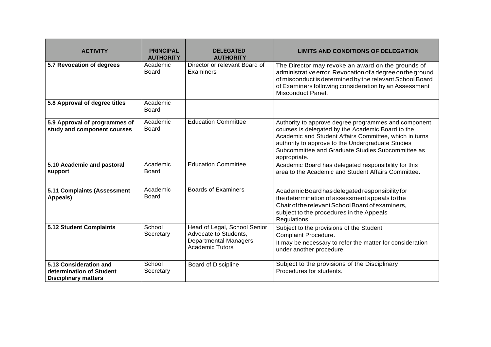| <b>ACTIVITY</b>                                                                   | <b>PRINCIPAL</b><br><b>AUTHORITY</b> | <b>DELEGATED</b><br><b>AUTHORITY</b>                                                                      | <b>LIMITS AND CONDITIONS OF DELEGATION</b>                                                                                                                                                                                                                                                    |
|-----------------------------------------------------------------------------------|--------------------------------------|-----------------------------------------------------------------------------------------------------------|-----------------------------------------------------------------------------------------------------------------------------------------------------------------------------------------------------------------------------------------------------------------------------------------------|
| 5.7 Revocation of degrees                                                         | Academic<br>Board                    | Director or relevant Board of<br>Examiners                                                                | The Director may revoke an award on the grounds of<br>administrative error. Revocation of a degree on the ground<br>of misconduct is determined by the relevant School Board<br>of Examiners following consideration by an Assessment<br>Misconduct Panel.                                    |
| 5.8 Approval of degree titles                                                     | Academic<br>Board                    |                                                                                                           |                                                                                                                                                                                                                                                                                               |
| 5.9 Approval of programmes of<br>study and component courses                      | Academic<br><b>Board</b>             | <b>Education Committee</b>                                                                                | Authority to approve degree programmes and component<br>courses is delegated by the Academic Board to the<br>Academic and Student Affairs Committee, which in turns<br>authority to approve to the Undergraduate Studies<br>Subcommittee and Graduate Studies Subcommittee as<br>appropriate. |
| 5.10 Academic and pastoral<br>support                                             | Academic<br>Board                    | <b>Education Committee</b>                                                                                | Academic Board has delegated responsibility for this<br>area to the Academic and Student Affairs Committee.                                                                                                                                                                                   |
| 5.11 Complaints (Assessment<br>Appeals)                                           | Academic<br><b>Board</b>             | <b>Boards of Examiners</b>                                                                                | Academic Board has delegated responsibility for<br>the determination of assessment appeals to the<br>Chair of the relevant School Board of examiners,<br>subject to the procedures in the Appeals<br>Regulations.                                                                             |
| 5.12 Student Complaints                                                           | School<br>Secretary                  | Head of Legal, School Senior<br>Advocate to Students,<br>Departmental Managers,<br><b>Academic Tutors</b> | Subject to the provisions of the Student<br>Complaint Procedure.<br>It may be necessary to refer the matter for consideration<br>under another procedure.                                                                                                                                     |
| 5.13 Consideration and<br>determination of Student<br><b>Disciplinary matters</b> | School<br>Secretary                  | <b>Board of Discipline</b>                                                                                | Subject to the provisions of the Disciplinary<br>Procedures for students.                                                                                                                                                                                                                     |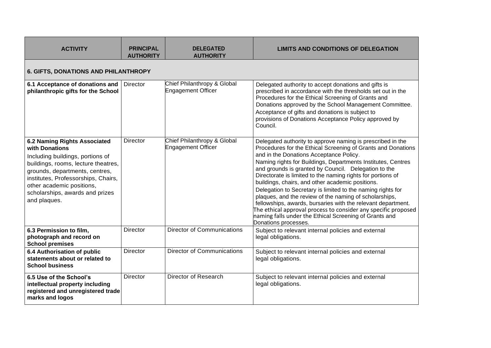| <b>ACTIVITY</b>                                                                                                                                                                                                                                                                           | <b>PRINCIPAL</b><br><b>AUTHORITY</b>        | <b>DELEGATED</b><br><b>AUTHORITY</b>                     | LIMITS AND CONDITIONS OF DELEGATION                                                                                                                                                                                                                                                                                                                                                                                                                                                                                                                                                                                                                                                                                                                           |  |  |
|-------------------------------------------------------------------------------------------------------------------------------------------------------------------------------------------------------------------------------------------------------------------------------------------|---------------------------------------------|----------------------------------------------------------|---------------------------------------------------------------------------------------------------------------------------------------------------------------------------------------------------------------------------------------------------------------------------------------------------------------------------------------------------------------------------------------------------------------------------------------------------------------------------------------------------------------------------------------------------------------------------------------------------------------------------------------------------------------------------------------------------------------------------------------------------------------|--|--|
|                                                                                                                                                                                                                                                                                           | <b>6. GIFTS, DONATIONS AND PHILANTHROPY</b> |                                                          |                                                                                                                                                                                                                                                                                                                                                                                                                                                                                                                                                                                                                                                                                                                                                               |  |  |
| 6.1 Acceptance of donations and<br>philanthropic gifts for the School                                                                                                                                                                                                                     | <b>Director</b>                             | Chief Philanthropy & Global<br><b>Engagement Officer</b> | Delegated authority to accept donations and gifts is<br>prescribed in accordance with the thresholds set out in the<br>Procedures for the Ethical Screening of Grants and<br>Donations approved by the School Management Committee.<br>Acceptance of gifts and donations is subject to<br>provisions of Donations Acceptance Policy approved by<br>Council.                                                                                                                                                                                                                                                                                                                                                                                                   |  |  |
| <b>6.2 Naming Rights Associated</b><br>with Donations<br>Including buildings, portions of<br>buildings, rooms, lecture theatres,<br>grounds, departments, centres,<br>institutes, Professorships, Chairs,<br>other academic positions,<br>scholarships, awards and prizes<br>and plaques. | Director                                    | Chief Philanthropy & Global<br><b>Engagement Officer</b> | Delegated authority to approve naming is prescribed in the<br>Procedures for the Ethical Screening of Grants and Donations<br>and in the Donations Acceptance Policy.<br>Naming rights for Buildings, Departments Institutes, Centres<br>and grounds is granted by Council. Delegation to the<br>Directorate is limited to the naming rights for portions of<br>buildings, chairs, and other academic positions.<br>Delegation to Secretary is limited to the naming rights for<br>plaques, and the review of the naming of scholarships,<br>fellowships, awards, bursaries with the relevant department.<br>The ethical approval process to consider any specific proposed<br>naming falls under the Ethical Screening of Grants and<br>Donations processes. |  |  |
| 6.3 Permission to film,<br>photograph and record on<br><b>School premises</b>                                                                                                                                                                                                             | Director                                    | <b>Director of Communications</b>                        | Subject to relevant internal policies and external<br>legal obligations.                                                                                                                                                                                                                                                                                                                                                                                                                                                                                                                                                                                                                                                                                      |  |  |
| 6.4 Authorisation of public<br>statements about or related to<br><b>School business</b>                                                                                                                                                                                                   | <b>Director</b>                             | <b>Director of Communications</b>                        | Subject to relevant internal policies and external<br>legal obligations.                                                                                                                                                                                                                                                                                                                                                                                                                                                                                                                                                                                                                                                                                      |  |  |
| 6.5 Use of the School's<br>intellectual property including<br>registered and unregistered trade<br>marks and logos                                                                                                                                                                        | <b>Director</b>                             | Director of Research                                     | Subject to relevant internal policies and external<br>legal obligations.                                                                                                                                                                                                                                                                                                                                                                                                                                                                                                                                                                                                                                                                                      |  |  |